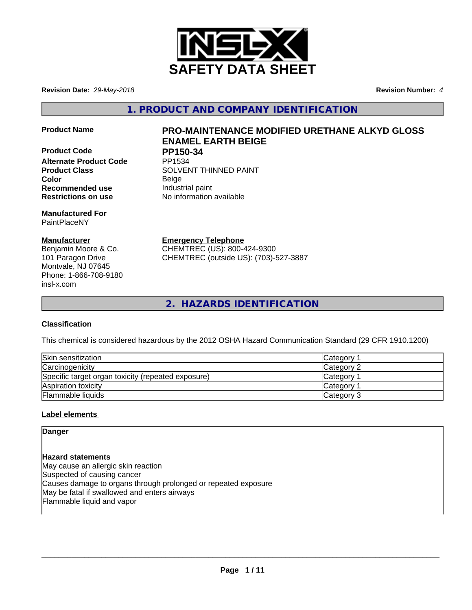

**Revision Date:** *29-May-2018* **Revision Number:** *4*

**1. PRODUCT AND COMPANY IDENTIFICATION**

**Product Code PP150-34**<br>Alternate Product Code PP1534 **Alternate Product Code** 

**Manufactured For** PaintPlaceNY

# **Manufacturer**

Benjamin Moore & Co. 101 Paragon Drive Montvale, NJ 07645 Phone: 1-866-708-9180 insl-x.com

# **Product Name PRO-MAINTENANCE MODIFIED URETHANE ALKYD GLOSS ENAMEL EARTH BEIGE**

**Product Class SOLVENT THINNED PAINT Color** Beige **Recommended use Industrial paint Restrictions on use** No information available

**Emergency Telephone**

CHEMTREC (US): 800-424-9300 CHEMTREC (outside US): (703)-527-3887

**2. HAZARDS IDENTIFICATION**

# **Classification**

This chemical is considered hazardous by the 2012 OSHA Hazard Communication Standard (29 CFR 1910.1200)

| Skin sensitization                                 | Category <sup>-</sup> |
|----------------------------------------------------|-----------------------|
| Carcinogenicity                                    | Category 2            |
| Specific target organ toxicity (repeated exposure) | Category              |
| Aspiration toxicity                                | Category              |
| <b>Flammable liquids</b>                           | Category 3            |

# **Label elements**

**Danger**

**Hazard statements** May cause an allergic skin reaction Suspected of causing cancer Causes damage to organs through prolonged or repeated exposure May be fatal if swallowed and enters airways Flammable liquid and vapor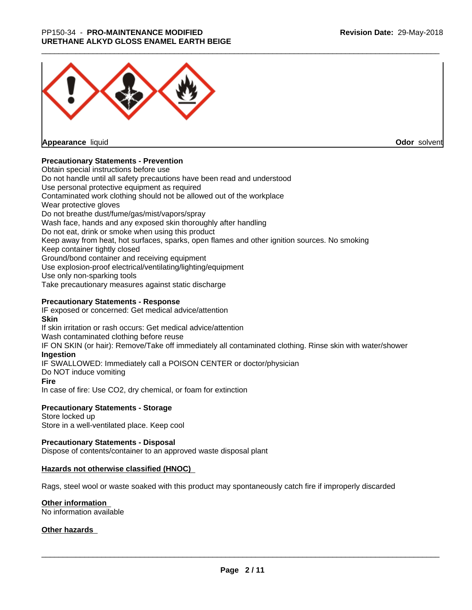

**Appearance** liquid

**Odor** solvent

## **Precautionary Statements - Prevention**

Obtain special instructions before use Do not handle until all safety precautions have been read and understood Use personal protective equipment as required Contaminated work clothing should not be allowed out of the workplace Wear protective gloves Do not breathe dust/fume/gas/mist/vapors/spray Wash face, hands and any exposed skin thoroughly after handling Do not eat, drink or smoke when using this product Keep away from heat, hot surfaces, sparks, open flames and other ignition sources. No smoking Keep container tightly closed Ground/bond container and receiving equipment Use explosion-proof electrical/ventilating/lighting/equipment Use only non-sparking tools Take precautionary measures against static discharge

## **Precautionary Statements - Response**

IF exposed or concerned: Get medical advice/attention **Skin** If skin irritation or rash occurs: Get medical advice/attention Wash contaminated clothing before reuse IF ON SKIN (or hair): Remove/Take off immediately all contaminated clothing. Rinse skin with water/shower **Ingestion** IF SWALLOWED: Immediately call a POISON CENTER or doctor/physician Do NOT induce vomiting **Fire** In case of fire: Use CO2, dry chemical, or foam for extinction

## **Precautionary Statements - Storage**

Store locked up Store in a well-ventilated place. Keep cool

### **Precautionary Statements - Disposal**

Dispose of contents/container to an approved waste disposal plant

### **Hazards not otherwise classified (HNOC)**

Rags, steel wool or waste soaked with this product may spontaneously catch fire if improperly discarded

### **Other information**

No information available

### **Other hazards**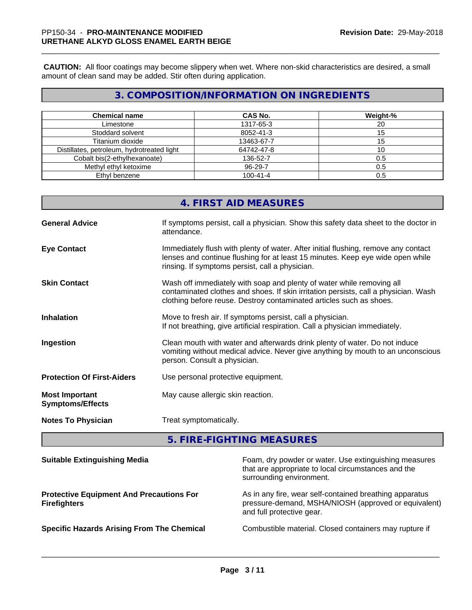**CAUTION:** All floor coatings may become slippery when wet. Where non-skid characteristics are desired, a small amount of clean sand may be added. Stir often during application.

# **3. COMPOSITION/INFORMATION ON INGREDIENTS**

| <b>Chemical name</b>                       | <b>CAS No.</b> | Weight-% |
|--------------------------------------------|----------------|----------|
| Limestone                                  | 1317-65-3      | 20       |
| Stoddard solvent                           | 8052-41-3      | 15       |
| Titanium dioxide                           | 13463-67-7     | 15       |
| Distillates, petroleum, hydrotreated light | 64742-47-8     | 10       |
| Cobalt bis(2-ethylhexanoate)               | 136-52-7       | 0.5      |
| Methyl ethyl ketoxime                      | 96-29-7        | 0.5      |
| Ethyl benzene                              | $100 - 41 - 4$ | 0.5      |

|                                                  | 4. FIRST AID MEASURES                                                                                                                                                                                                               |
|--------------------------------------------------|-------------------------------------------------------------------------------------------------------------------------------------------------------------------------------------------------------------------------------------|
| <b>General Advice</b>                            | If symptoms persist, call a physician. Show this safety data sheet to the doctor in<br>attendance.                                                                                                                                  |
| <b>Eye Contact</b>                               | Immediately flush with plenty of water. After initial flushing, remove any contact<br>lenses and continue flushing for at least 15 minutes. Keep eye wide open while<br>rinsing. If symptoms persist, call a physician.             |
| <b>Skin Contact</b>                              | Wash off immediately with soap and plenty of water while removing all<br>contaminated clothes and shoes. If skin irritation persists, call a physician. Wash<br>clothing before reuse. Destroy contaminated articles such as shoes. |
| <b>Inhalation</b>                                | Move to fresh air. If symptoms persist, call a physician.<br>If not breathing, give artificial respiration. Call a physician immediately.                                                                                           |
| Ingestion                                        | Clean mouth with water and afterwards drink plenty of water. Do not induce<br>vomiting without medical advice. Never give anything by mouth to an unconscious<br>person. Consult a physician.                                       |
| <b>Protection Of First-Aiders</b>                | Use personal protective equipment.                                                                                                                                                                                                  |
| <b>Most Important</b><br><b>Symptoms/Effects</b> | May cause allergic skin reaction.                                                                                                                                                                                                   |
| <b>Notes To Physician</b>                        | Treat symptomatically.                                                                                                                                                                                                              |
|                                                  |                                                                                                                                                                                                                                     |

**5. FIRE-FIGHTING MEASURES**

| <b>Suitable Extinguishing Media</b>                                    | Foam, dry powder or water. Use extinguishing measures<br>that are appropriate to local circumstances and the<br>surrounding environment.     |
|------------------------------------------------------------------------|----------------------------------------------------------------------------------------------------------------------------------------------|
| <b>Protective Equipment And Precautions For</b><br><b>Firefighters</b> | As in any fire, wear self-contained breathing apparatus<br>pressure-demand, MSHA/NIOSH (approved or equivalent)<br>and full protective gear. |
| <b>Specific Hazards Arising From The Chemical</b>                      | Combustible material. Closed containers may rupture if                                                                                       |
|                                                                        |                                                                                                                                              |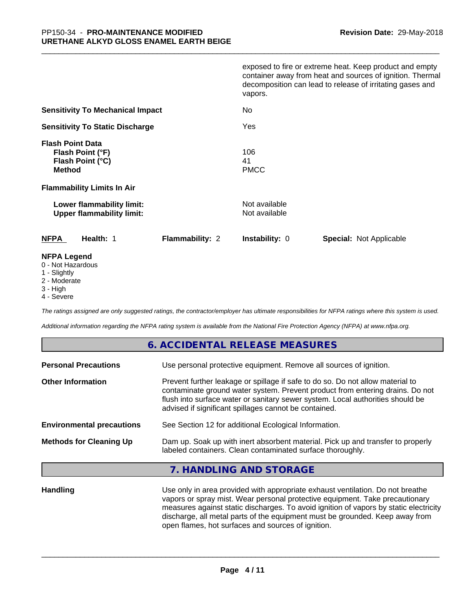|                                                                                                                              | exposed to fire or extreme heat. Keep product and empty<br>container away from heat and sources of ignition. Thermal<br>decomposition can lead to release of irritating gases and<br>vapors. |
|------------------------------------------------------------------------------------------------------------------------------|----------------------------------------------------------------------------------------------------------------------------------------------------------------------------------------------|
| <b>Sensitivity To Mechanical Impact</b>                                                                                      | <b>No</b>                                                                                                                                                                                    |
| <b>Sensitivity To Static Discharge</b>                                                                                       | Yes                                                                                                                                                                                          |
| <b>Flash Point Data</b><br>Flash Point (°F)<br>Flash Point (°C)<br><b>Method</b><br><b>Flammability Limits In Air</b>        | 106<br>41<br><b>PMCC</b>                                                                                                                                                                     |
| Lower flammability limit:<br><b>Upper flammability limit:</b>                                                                | Not available<br>Not available                                                                                                                                                               |
| <b>NFPA</b><br>Health: 1<br><b>Flammability: 2</b>                                                                           | Instability: 0<br><b>Special: Not Applicable</b>                                                                                                                                             |
| <b>NFPA Legend</b><br>$\bigcap$ <b>N</b> Let $\bigcup$ $\bigcup$ $\bigcup$ $\bigcup$ $\bigcup$ $\bigcup$ $\bigcup$ $\bigcup$ |                                                                                                                                                                                              |

- 0 Not Hazardous
- 1 Slightly
- 2 Moderate
- 3 High
- 4 Severe

*The ratings assigned are only suggested ratings, the contractor/employer has ultimate responsibilities for NFPA ratings where this system is used.*

*Additional information regarding the NFPA rating system is available from the National Fire Protection Agency (NFPA) at www.nfpa.org.*

# **6. ACCIDENTAL RELEASE MEASURES**

| Use personal protective equipment. Remove all sources of ignition.                                                                                                                                                                                                                                         |
|------------------------------------------------------------------------------------------------------------------------------------------------------------------------------------------------------------------------------------------------------------------------------------------------------------|
| Prevent further leakage or spillage if safe to do so. Do not allow material to<br>contaminate ground water system. Prevent product from entering drains. Do not<br>flush into surface water or sanitary sewer system. Local authorities should be<br>advised if significant spillages cannot be contained. |
| See Section 12 for additional Ecological Information.                                                                                                                                                                                                                                                      |
| Dam up. Soak up with inert absorbent material. Pick up and transfer to properly<br>labeled containers. Clean contaminated surface thoroughly.                                                                                                                                                              |
|                                                                                                                                                                                                                                                                                                            |

## **7. HANDLING AND STORAGE**

**Handling** Use only in area provided with appropriate exhaust ventilation. Do not breathe vapors or spray mist. Wear personal protective equipment. Take precautionary measures against static discharges. To avoid ignition of vapors by static electricity discharge, all metal parts of the equipment must be grounded. Keep away from open flames, hot surfaces and sources of ignition.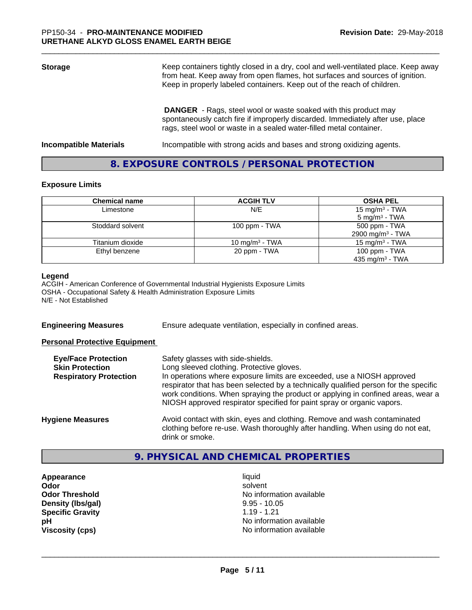| <b>Storage</b>                | Keep containers tightly closed in a dry, cool and well-ventilated place. Keep away<br>from heat. Keep away from open flames, hot surfaces and sources of ignition.<br>Keep in properly labeled containers. Keep out of the reach of children. |  |
|-------------------------------|-----------------------------------------------------------------------------------------------------------------------------------------------------------------------------------------------------------------------------------------------|--|
|                               | <b>DANGER</b> - Rags, steel wool or waste soaked with this product may<br>spontaneously catch fire if improperly discarded. Immediately after use, place<br>rags, steel wool or waste in a sealed water-filled metal container.               |  |
| <b>Incompatible Materials</b> | Incompatible with strong acids and bases and strong oxidizing agents.                                                                                                                                                                         |  |

# **8. EXPOSURE CONTROLS / PERSONAL PROTECTION**

# **Exposure Limits**

| <b>Chemical name</b> | <b>ACGIH TLV</b>  | <b>OSHA PEL</b>              |
|----------------------|-------------------|------------------------------|
| Limestone            | N/E               | 15 mg/m <sup>3</sup> - TWA   |
|                      |                   | $5 \text{ mg/m}^3$ - TWA     |
| Stoddard solvent     | 100 ppm - $TWA$   | 500 ppm - TWA                |
|                      |                   | 2900 mg/m <sup>3</sup> - TWA |
| Titanium dioxide     | 10 mg/m $3$ - TWA | 15 mg/m $3$ - TWA            |
| Ethyl benzene        | 20 ppm - TWA      | 100 ppm $-$ TWA              |
|                      |                   | 435 mg/m <sup>3</sup> - TWA  |

#### **Legend**

ACGIH - American Conference of Governmental Industrial Hygienists Exposure Limits OSHA - Occupational Safety & Health Administration Exposure Limits N/E - Not Established

**Engineering Measures** Ensure adequate ventilation, especially in confined areas.

### **Personal Protective Equipment**

| <b>Eye/Face Protection</b><br><b>Skin Protection</b> | Safety glasses with side-shields.<br>Long sleeved clothing. Protective gloves.                                                                                                                                                                     |
|------------------------------------------------------|----------------------------------------------------------------------------------------------------------------------------------------------------------------------------------------------------------------------------------------------------|
| <b>Respiratory Protection</b>                        | In operations where exposure limits are exceeded, use a NIOSH approved                                                                                                                                                                             |
|                                                      | respirator that has been selected by a technically qualified person for the specific<br>work conditions. When spraying the product or applying in confined areas, wear a<br>NIOSH approved respirator specified for paint spray or organic vapors. |
| <b>Hygiene Measures</b>                              | Avoid contact with skin, eyes and clothing. Remove and wash contaminated<br>clothing before re-use. Wash thoroughly after handling. When using do not eat,<br>drink or smoke.                                                                      |

# **9. PHYSICAL AND CHEMICAL PROPERTIES**

**Appearance** liquid **Density (Ibs/gal)** 9.95 - 10.05<br> **Specific Gravity** 1.19 - 1.21 **Specific Gravity** 

**Odor** solvent **Odor Threshold No information available No information available pH** No information available **Viscosity (cps)** No information available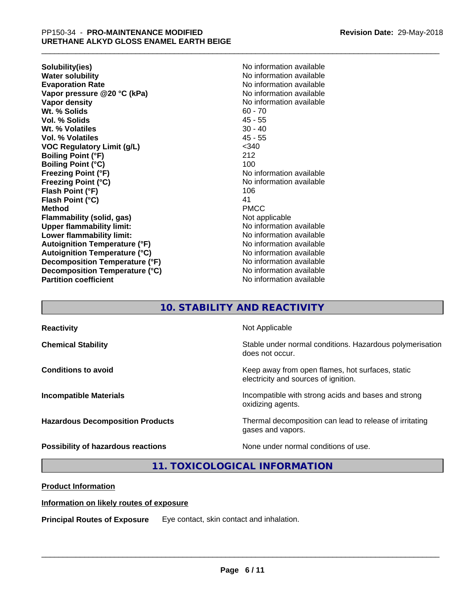**Solubility(ies)** No information available **Water solubility**<br> **Evaporation Rate**<br> **Evaporation Rate**<br> **Evaporation Rate Vapor pressure @20 °C (kPa)** No information available **Vapor density No information available No** information available **Wt. % Solids** 60 - 70 **Vol. % Solids** 45 - 55 **Wt. % Volatiles** 30 - 40 **Vol. % Volatiles VOC Regulatory Limit (g/L)** <340 **Boiling Point (°F)** 212 **Boiling Point (°C)** 100 **Freezing Point (°F)**<br> **Freezing Point (°C)**<br> **Freezing Point (°C)**<br> **No information available Flash Point (°F)** 106 **Flash Point (°C)** 41 **Method** PMCC **Flammability (solid, gas)** Not applicable **Upper flammability limit:** No information available **Lower flammability limit:** No information available **Lower** flammability limit: **Autoignition Temperature (°F)**<br> **Autoignition Temperature (°C)** No information available<br>
No information available **Autoignition Temperature (°C) Decomposition Temperature (°F)** No information available **Decomposition Temperature (°C)** No information available **Partition coefficient CONSTRANSISTS No information available** 

**Evaporation Rate** No information available **Freezing Point (°C)** No information available

# **10. STABILITY AND REACTIVITY**

| <b>Reactivity</b>                       | Not Applicable                                                                           |
|-----------------------------------------|------------------------------------------------------------------------------------------|
| <b>Chemical Stability</b>               | Stable under normal conditions. Hazardous polymerisation<br>does not occur.              |
| <b>Conditions to avoid</b>              | Keep away from open flames, hot surfaces, static<br>electricity and sources of ignition. |
| <b>Incompatible Materials</b>           | Incompatible with strong acids and bases and strong<br>oxidizing agents.                 |
| <b>Hazardous Decomposition Products</b> | Thermal decomposition can lead to release of irritating<br>gases and vapors.             |
| Possibility of hazardous reactions      | None under normal conditions of use.                                                     |

**11. TOXICOLOGICAL INFORMATION**

## **Product Information**

### **Information on likely routes of exposure**

**Principal Routes of Exposure** Eye contact, skin contact and inhalation.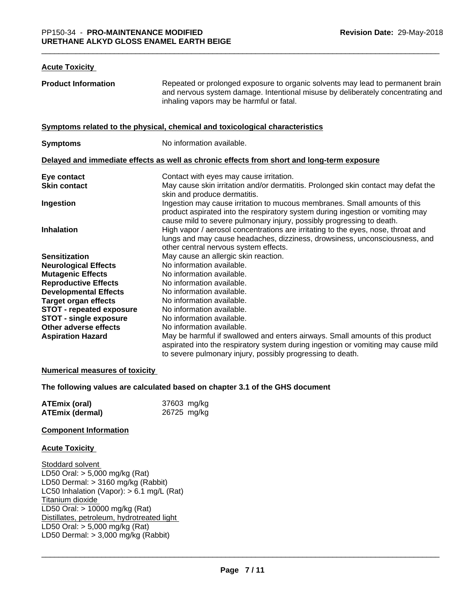#### **Acute Toxicity**

| <b>Product Information</b>      | Repeated or prolonged exposure to organic solvents may lead to permanent brain<br>and nervous system damage. Intentional misuse by deliberately concentrating and<br>inhaling vapors may be harmful or fatal.                        |
|---------------------------------|--------------------------------------------------------------------------------------------------------------------------------------------------------------------------------------------------------------------------------------|
|                                 | Symptoms related to the physical, chemical and toxicological characteristics                                                                                                                                                         |
| <b>Symptoms</b>                 | No information available.                                                                                                                                                                                                            |
|                                 | Delayed and immediate effects as well as chronic effects from short and long-term exposure                                                                                                                                           |
| Eye contact                     | Contact with eyes may cause irritation.                                                                                                                                                                                              |
| <b>Skin contact</b>             | May cause skin irritation and/or dermatitis. Prolonged skin contact may defat the<br>skin and produce dermatitis.                                                                                                                    |
| Ingestion                       | Ingestion may cause irritation to mucous membranes. Small amounts of this<br>product aspirated into the respiratory system during ingestion or vomiting may<br>cause mild to severe pulmonary injury, possibly progressing to death. |
| <b>Inhalation</b>               | High vapor / aerosol concentrations are irritating to the eyes, nose, throat and<br>lungs and may cause headaches, dizziness, drowsiness, unconsciousness, and<br>other central nervous system effects.                              |
| <b>Sensitization</b>            | May cause an allergic skin reaction.                                                                                                                                                                                                 |
| <b>Neurological Effects</b>     | No information available.                                                                                                                                                                                                            |
| <b>Mutagenic Effects</b>        | No information available.                                                                                                                                                                                                            |
| <b>Reproductive Effects</b>     | No information available.                                                                                                                                                                                                            |
| <b>Developmental Effects</b>    | No information available.                                                                                                                                                                                                            |
| <b>Target organ effects</b>     | No information available.                                                                                                                                                                                                            |
| <b>STOT - repeated exposure</b> | No information available.                                                                                                                                                                                                            |
| <b>STOT - single exposure</b>   | No information available.                                                                                                                                                                                                            |
| Other adverse effects           | No information available.                                                                                                                                                                                                            |
| <b>Aspiration Hazard</b>        | May be harmful if swallowed and enters airways. Small amounts of this product<br>aspirated into the respiratory system during ingestion or vomiting may cause mild<br>to severe pulmonary injury, possibly progressing to death.     |

### **Numerical measures of toxicity**

### **The following values are calculated based on chapter 3.1 of the GHS document**

| <b>ATEmix (oral)</b> | 37603 mg/kg |
|----------------------|-------------|
| ATEmix (dermal)      | 26725 mg/kg |

#### **Component Information**

#### **Acute Toxicity**

Stoddard solvent LD50 Oral: > 5,000 mg/kg (Rat) LD50 Dermal: > 3160 mg/kg (Rabbit) LC50 Inhalation (Vapor): > 6.1 mg/L (Rat) Titanium dioxide LD50 Oral: > 10000 mg/kg (Rat) Distillates, petroleum, hydrotreated light LD50 Oral: > 5,000 mg/kg (Rat) LD50 Dermal: > 3,000 mg/kg (Rabbit)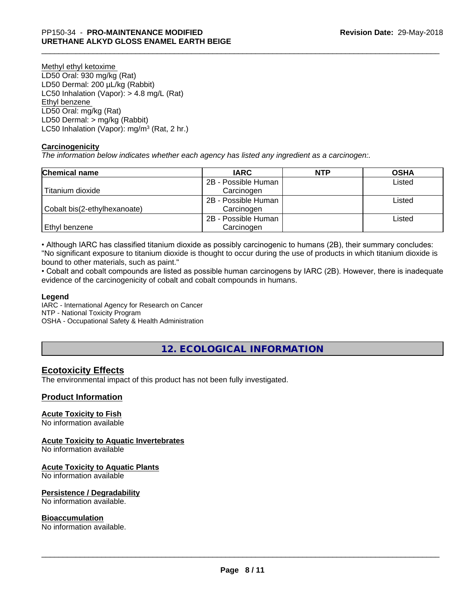Methyl ethyl ketoxime LD50 Oral: 930 mg/kg (Rat) LD50 Dermal: 200 µL/kg (Rabbit) LC50 Inhalation (Vapor): > 4.8 mg/L (Rat) Ethyl benzene LD50 Oral: mg/kg (Rat) LD50 Dermal: > mg/kg (Rabbit) LC50 Inhalation (Vapor): mg/m<sup>3</sup> (Rat, 2 hr.)

### **Carcinogenicity**

*The information below indicateswhether each agency has listed any ingredient as a carcinogen:.*

| <b>Chemical name</b>         | <b>IARC</b>         | <b>NTP</b> | <b>OSHA</b> |
|------------------------------|---------------------|------------|-------------|
|                              | 2B - Possible Human |            | Listed      |
| Titanium dioxide             | Carcinogen          |            |             |
|                              | 2B - Possible Human |            | Listed      |
| Cobalt bis(2-ethylhexanoate) | Carcinogen          |            |             |
|                              | 2B - Possible Human |            | Listed      |
| l Ethvl benzene              | Carcinogen          |            |             |

• Although IARC has classified titanium dioxide as possibly carcinogenic to humans (2B), their summary concludes: "No significant exposure to titanium dioxide is thought to occur during the use of products in which titanium dioxide is bound to other materials, such as paint."

• Cobalt and cobalt compounds are listed as possible human carcinogens by IARC (2B). However, there is inadequate evidence of the carcinogenicity of cobalt and cobalt compounds in humans.

### **Legend**

IARC - International Agency for Research on Cancer NTP - National Toxicity Program OSHA - Occupational Safety & Health Administration

# **12. ECOLOGICAL INFORMATION**

# **Ecotoxicity Effects**

The environmental impact of this product has not been fully investigated.

## **Product Information**

### **Acute Toxicity to Fish**

No information available

### **Acute Toxicity to Aquatic Invertebrates**

No information available

### **Acute Toxicity to Aquatic Plants**

No information available

### **Persistence / Degradability**

No information available.

### **Bioaccumulation**

No information available.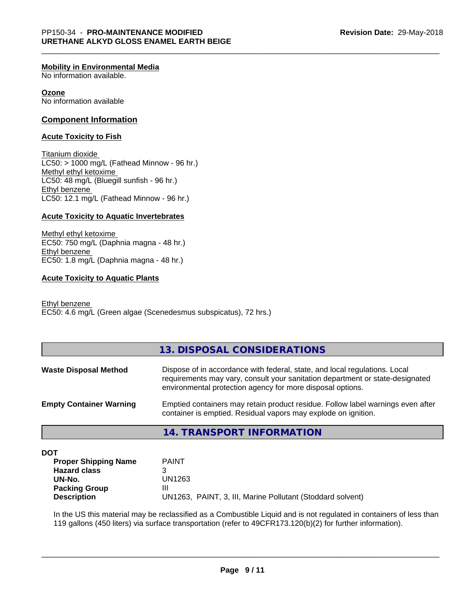#### **Mobility in Environmental Media**

No information available.

#### **Ozone**

No information available

#### **Component Information**

#### **Acute Toxicity to Fish**

Titanium dioxide  $LC50:$  > 1000 mg/L (Fathead Minnow - 96 hr.) Methyl ethyl ketoxime LC50: 48 mg/L (Bluegill sunfish - 96 hr.) Ethyl benzene LC50: 12.1 mg/L (Fathead Minnow - 96 hr.)

#### **Acute Toxicity to Aquatic Invertebrates**

Methyl ethyl ketoxime EC50: 750 mg/L (Daphnia magna - 48 hr.) Ethyl benzene EC50: 1.8 mg/L (Daphnia magna - 48 hr.)

#### **Acute Toxicity to Aquatic Plants**

Ethyl benzene EC50: 4.6 mg/L (Green algae (Scenedesmus subspicatus), 72 hrs.)

### **13. DISPOSAL CONSIDERATIONS**

| <b>Waste Disposal Method</b>   | Dispose of in accordance with federal, state, and local regulations. Local<br>requirements may vary, consult your sanitation department or state-designated<br>environmental protection agency for more disposal options. |
|--------------------------------|---------------------------------------------------------------------------------------------------------------------------------------------------------------------------------------------------------------------------|
| <b>Empty Container Warning</b> | Emptied containers may retain product residue. Follow label warnings even after<br>container is emptied. Residual vapors may explode on ignition.                                                                         |

## **14. TRANSPORT INFORMATION**

**DOT**

| <b>Proper Shipping Name</b> | <b>PAINT</b>                                               |
|-----------------------------|------------------------------------------------------------|
| <b>Hazard class</b>         |                                                            |
| UN-No.                      | UN1263                                                     |
| <b>Packing Group</b>        | Ш                                                          |
| <b>Description</b>          | UN1263, PAINT, 3, III, Marine Pollutant (Stoddard solvent) |

In the US this material may be reclassified as a Combustible Liquid and is not regulated in containers of less than 119 gallons (450 liters) via surface transportation (refer to 49CFR173.120(b)(2) for further information).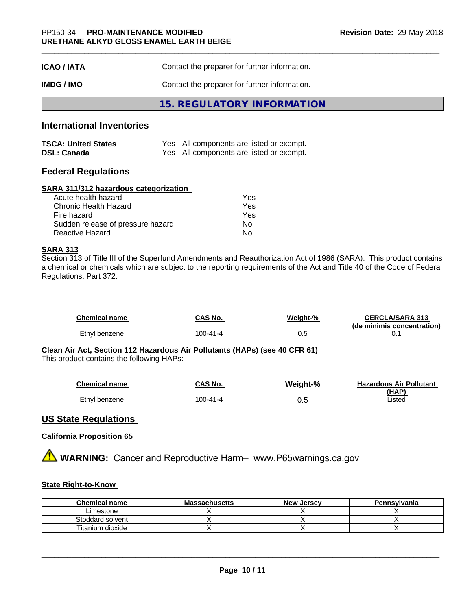| <b>ICAO/IATA</b> | Contact the preparer for further information. |  |
|------------------|-----------------------------------------------|--|
| <b>IMDG/IMO</b>  | Contact the preparer for further information. |  |
|                  | 15. REGULATORY INFORMATION                    |  |

## **International Inventories**

| <b>TSCA: United States</b> | Yes - All components are listed or exempt. |
|----------------------------|--------------------------------------------|
| <b>DSL: Canada</b>         | Yes - All components are listed or exempt. |

# **Federal Regulations**

### **SARA 311/312 hazardous categorization**

| Acute health hazard               | Yes |  |
|-----------------------------------|-----|--|
| Chronic Health Hazard             | Yes |  |
| Fire hazard                       | Yes |  |
| Sudden release of pressure hazard | Nο  |  |
| Reactive Hazard                   | Nο  |  |

## **SARA 313**

Section 313 of Title III of the Superfund Amendments and Reauthorization Act of 1986 (SARA). This product contains a chemical or chemicals which are subject to the reporting requirements of the Act and Title 40 of the Code of Federal Regulations, Part 372:

| <b>Chemical name</b> | CAS No.  | Weight-% | <b>CERCLA/SARA 313</b><br>(de minimis concentration) |
|----------------------|----------|----------|------------------------------------------------------|
| Ethyl benzene        | 100-41-4 | 0.5      |                                                      |

#### **Clean Air Act,Section 112 Hazardous Air Pollutants (HAPs) (see 40 CFR 61)** This product contains the following HAPs:

| <b>Chemical name</b> | <b>CAS No.</b> | Weight-% | <b>Hazardous Air Pollutant</b> |
|----------------------|----------------|----------|--------------------------------|
|                      |                |          | (HAP)                          |
| Ethyl benzene        | 100-41-4       | 0.5      | Listed                         |

# **US State Regulations**

## **California Proposition 65**

**A** WARNING: Cancer and Reproductive Harm– www.P65warnings.ca.gov

### **State Right-to-Know**

| <b>Chemical name</b> | <b>Massachusetts</b> | <b>New Jersey</b> | Pennsylvania |
|----------------------|----------------------|-------------------|--------------|
| _imestone            |                      |                   |              |
| Stoddard solvent     |                      |                   |              |
| Titanium dioxide     |                      |                   |              |